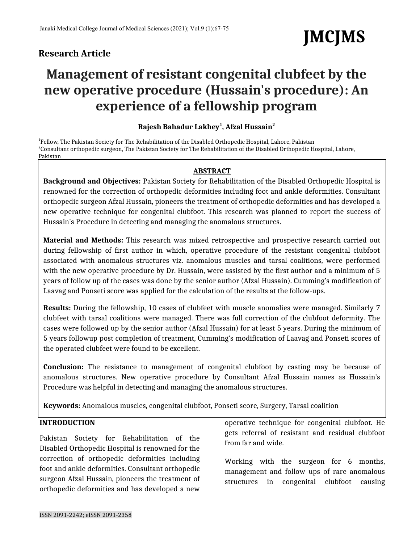# **Research Article**

# **JMCJMS**

# **Management of resistant congenital clubfeet by the new operative procedure (Hussain's procedure): An experience of a fellowship program**

# **Rajesh Bahadur Lakhey<sup>1</sup> , Afzal Hussain<sup>2</sup>**

<sup>1</sup>Fellow, The Pakistan Society for The Rehabilitation of the Disabled Orthopedic Hospital, Lahore, Pakistan 2 Consultant orthopedic surgeon, The Pakistan Society for The Rehabilitation of the Disabled Orthopedic Hospital, Lahore, Pakistan

#### **ABSTRACT**

**Background and Objectives:** Pakistan Society for Rehabilitation of the Disabled Orthopedic Hospital is renowned for the correction of orthopedic deformities including foot and ankle deformities. Consultant orthopedic surgeon Afzal Hussain, pioneers the treatment of orthopedic deformities and has developed a new operative technique for congenital clubfoot. This research was planned to report the success of Hussain's Procedure in detecting and managing the anomalous structures.

**Material and Methods:** This research was mixed retrospective and prospective research carried out during fellowship of first author in which, operative procedure of the resistant congenital clubfoot associated with anomalous structures viz. anomalous muscles and tarsal coalitions, were performed with the new operative procedure by Dr. Hussain, were assisted by the first author and a minimum of 5 years of follow up of the cases was done by the senior author (Afzal Hussain). Cumming's modification of Laavag and Ponseti score was applied for the calculation of the results at the follow-ups.

**Results:** During the fellowship, 10 cases of clubfeet with muscle anomalies were managed. Similarly 7 clubfeet with tarsal coalitions were managed. There was full correction of the clubfoot deformity. The cases were followed up by the senior author (Afzal Hussain) for at least 5 years. During the minimum of 5 years followup post completion of treatment, Cumming's modification of Laavag and Ponseti scores of the operated clubfeet were found to be excellent.

**Conclusion:** The resistance to management of congenital clubfoot by casting may be because of anomalous structures. New operative procedure by Consultant Afzal Hussain names as Hussain's Procedure was helpful in detecting and managing the anomalous structures.

**Keywords:** Anomalous muscles, congenital clubfoot, Ponseti score, Surgery, Tarsal coalition

## **INTRODUCTION**

Pakistan Society for Rehabilitation of the Disabled Orthopedic Hospital is renowned for the correction of orthopedic deformities including foot and ankle deformities. Consultant orthopedic surgeon Afzal Hussain, pioneers the treatment of orthopedic deformities and has developed a new

operative technique for congenital clubfoot. He gets referral of resistant and residual clubfoot from far and wide.

Working with the surgeon for 6 months, management and follow ups of rare anomalous structures in congenital clubfoot causing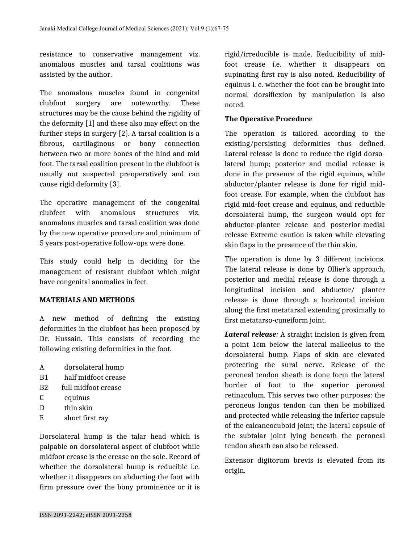resistance to conservative management viz. anomalous muscles and tarsal coalitions was assisted by the author.

The anomalous muscles found in congenital clubfoot surgery are noteworthy. These structures may be the cause behind the rigidity of the deformity [1] and these also may effect on the further steps in surgery [2]. A tarsal coalition is a fibrous, cartilaginous or bony connection between two or more bones of the hind and mid foot. The tarsal coalition present in the clubfoot is usually not suspected preoperatively and can cause rigid deformity [3].

The operative management of the congenital clubfeet with anomalous structures viz. anomalous muscles and tarsal coalition was done by the new operative procedure and minimum of 5 years post-operative follow-ups were done.

This study could help in deciding for the management of resistant clubfoot which might have congenital anomalies in feet.

#### **MATERIALS AND METHODS**

A new method of defining the existing deformities in the clubfoot has been proposed by Dr. Hussain. This consists of recording the following existing deformities in the foot.

- A dorsolateral hump
- B1 half midfoot crease
- B2 full midfoot crease
- C equinus
- D thin skin
- E short first ray

Dorsolateral hump is the talar head which is palpable on dorsolateral aspect of clubfoot while midfoot crease is the crease on the sole. Record of whether the dorsolateral hump is reducible i.e. whether it disappears on abducting the foot with firm pressure over the bony prominence or it is

rigid/irreducible is made. Reducibility of midfoot crease i.e. whether it disappears on supinating first ray is also noted. Reducibility of equinus i. e. whether the foot can be brought into normal dorsiflexion by manipulation is also noted.

#### **The Operative Procedure**

The operation is tailored according to the existing/persisting deformities thus defined. Lateral release is done to reduce the rigid dorsolateral hump; posterior and medial release is done in the presence of the rigid equinus, while abductor/planter release is done for rigid midfoot crease. For example, when the clubfoot has rigid mid-foot crease and equinus, and reducible dorsolateral hump, the surgeon would opt for abductor-planter release and posterior-medial release Extreme caution is taken while elevating skin flaps in the presence of the thin skin.

The operation is done by 3 different incisions. The lateral release is done by Ollier's approach, posterior and medial release is done through a longitudinal incision and abductor/ planter release is done through a horizontal incision along the first metatarsal extending proximally to first metatarso-cuneiform joint.

*Lateral release:* A straight incision is given from a point 1cm below the lateral malleolus to the dorsolateral hump. Flaps of skin are elevated protecting the sural nerve. Release of the peroneal tendon sheath is done form the lateral border of foot to the superior peroneal retinaculum. This serves two other purposes: the peroneus longus tendon can then be mobilized and protected while releasing the inferior capsule of the calcaneocuboid joint; the lateral capsule of the subtalar joint lying beneath the peroneal tendon sheath can also be released.

Extensor digitorum brevis is elevated from its origin.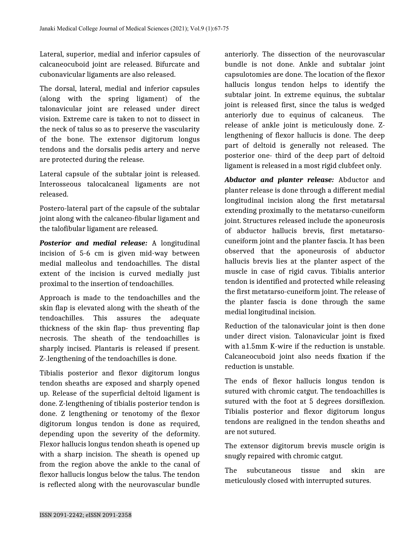Lateral, superior, medial and inferior capsules of calcaneocuboid joint are released. Bifurcate and cubonavicular ligaments are also released.

The dorsal, lateral, medial and inferior capsules (along with the spring ligament) of the talonavicular joint are released under direct vision. Extreme care is taken to not to dissect in the neck of talus so as to preserve the vascularity of the bone. The extensor digitorum longus tendons and the dorsalis pedis artery and nerve are protected during the release.

Lateral capsule of the subtalar joint is released. Interosseous talocalcaneal ligaments are not released.

Postero-lateral part of the capsule of the subtalar joint along with the calcaneo-fibular ligament and the talofibular ligament are released.

*Posterior and medial release:* A longitudinal incision of 5-6 cm is given mid-way between medial malleolus and tendoachilles. The distal extent of the incision is curved medially just proximal to the insertion of tendoachilles.

Approach is made to the tendoachilles and the skin flap is elevated along with the sheath of the tendoachilles. This assures the adequate thickness of the skin flap- thus preventing flap necrosis. The sheath of the tendoachilles is sharply incised. Plantaris is released if present. Z-.lengthening of the tendoachilles is done.

Tibialis posterior and flexor digitorum longus tendon sheaths are exposed and sharply opened up. Release of the superficial deltoid ligament is done. Z-lengthening of tibialis posterior tendon is done. Z lengthening or tenotomy of the flexor digitorum longus tendon is done as required, depending upon the severity of the deformity. Flexor hallucis longus tendon sheath is opened up with a sharp incision. The sheath is opened up from the region above the ankle to the canal of flexor hallucis longus below the talus. The tendon is reflected along with the neurovascular bundle

anteriorly. The dissection of the neurovascular bundle is not done. Ankle and subtalar joint capsulotomies are done. The location of the flexor hallucis longus tendon helps to identify the subtalar joint. In extreme equinus, the subtalar joint is released first, since the talus is wedged anteriorly due to equinus of calcaneus. The release of ankle joint is meticulously done. Zlengthening of flexor hallucis is done. The deep part of deltoid is generally not released. The posterior one- third of the deep part of deltoid ligament is released in a most rigid clubfeet only.

*Abductor and planter release:* Abductor and planter release is done through a different medial longitudinal incision along the first metatarsal extending proximally to the metatarso-cuneiform joint. Structures released include the aponeurosis of abductor hallucis brevis, first metatarsocuneiform joint and the planter fascia. It has been observed that the aponeurosis of abductor hallucis brevis lies at the planter aspect of the muscle in case of rigid cavus. Tibialis anterior tendon is identified and protected while releasing the first metatarso-cuneiform joint. The release of the planter fascia is done through the same medial longitudinal incision.

Reduction of the talonavicular joint is then done under direct vision. Talonavicular joint is fixed with a1.5mm K-wire if the reduction is unstable. Calcaneocuboid joint also needs fixation if the reduction is unstable.

The ends of flexor hallucis longus tendon is sutured with chromic catgut. The tendoachilles is sutured with the foot at 5 degrees dorsiflexion. Tibialis posterior and flexor digitorum longus tendons are realigned in the tendon sheaths and are not sutured.

The extensor digitorum brevis muscle origin is snugly repaired with chromic catgut.

The subcutaneous tissue and skin are meticulously closed with interrupted sutures.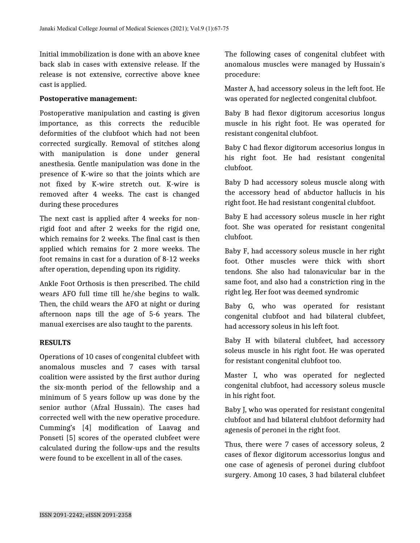Initial immobilization is done with an above knee back slab in cases with extensive release. If the release is not extensive, corrective above knee cast is applied.

#### **Postoperative management:**

Postoperative manipulation and casting is given importance, as this corrects the reducible deformities of the clubfoot which had not been corrected surgically. Removal of stitches along with manipulation is done under general anesthesia. Gentle manipulation was done in the presence of K-wire so that the joints which are not fixed by K-wire stretch out. K-wire is removed after 4 weeks. The cast is changed during these procedures

The next cast is applied after 4 weeks for nonrigid foot and after 2 weeks for the rigid one, which remains for 2 weeks. The final cast is then applied which remains for 2 more weeks. The foot remains in cast for a duration of 8-12 weeks after operation, depending upon its rigidity.

Ankle Foot Orthosis is then prescribed. The child wears AFO full time till he/she begins to walk. Then, the child wears the AFO at night or during afternoon naps till the age of 5-6 years. The manual exercises are also taught to the parents.

### **RESULTS**

Operations of 10 cases of congenital clubfeet with anomalous muscles and 7 cases with tarsal coalition were assisted by the first author during the six-month period of the fellowship and a minimum of 5 years follow up was done by the senior author (Afzal Hussain). The cases had corrected well with the new operative procedure. Cumming's [4] modification of Laavag and Ponseti [5] scores of the operated clubfeet were calculated during the follow-ups and the results were found to be excellent in all of the cases.

The following cases of congenital clubfeet with anomalous muscles were managed by Hussain's procedure:

Master A, had accessory soleus in the left foot. He was operated for neglected congenital clubfoot.

Baby B had flexor digitorum accesorius longus muscle in his right foot. He was operated for resistant congenital clubfoot.

Baby C had flexor digitorum accesorius longus in his right foot. He had resistant congenital clubfoot.

Baby D had accessory soleus muscle along with the accessory head of abductor hallucis in his right foot. He had resistant congenital clubfoot.

Baby E had accessory soleus muscle in her right foot. She was operated for resistant congenital clubfoot.

Baby F, had accessory soleus muscle in her right foot. Other muscles were thick with short tendons. She also had talonavicular bar in the same foot, and also had a constriction ring in the right leg. Her foot was deemed syndromic

Baby G, who was operated for resistant congenital clubfoot and had bilateral clubfeet, had accessory soleus in his left foot.

Baby H with bilateral clubfeet, had accessory soleus muscle in his right foot. He was operated for resistant congenital clubfoot too.

Master I, who was operated for neglected congenital clubfoot, had accessory soleus muscle in his right foot.

Baby J, who was operated for resistant congenital clubfoot and had bilateral clubfoot deformity had agenesis of peronei in the right foot.

Thus, there were 7 cases of accessory soleus, 2 cases of flexor digitorum accessorius longus and one case of agenesis of peronei during clubfoot surgery. Among 10 cases, 3 had bilateral clubfeet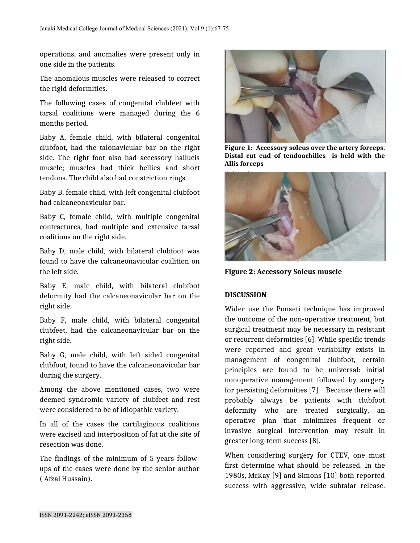operations, and anomalies were present only in one side in the patients.

The anomalous muscles were released to correct the rigid deformities.

The following cases of congenital clubfeet with tarsal coalitions were managed during the 6 months period.

Baby A, female child, with bilateral congenital clubfoot, had the talonavicular bar on the right side. The right foot also had accessory hallucis muscle; muscles had thick bellies and short tendons. The child also had constriction rings.

Baby B, female child, with left congenital clubfoot had calcaneonavicular bar.

Baby C, female child, with multiple congenital contractures, had multiple and extensive tarsal coalitions on the right side.

Baby D, male child, with bilateral clubfoot was found to have the calcaneonavicular coalition on the left side.

Baby E, male child, with bilateral clubfoot deformity had the calcaneonavicular bar on the right side.

Baby F, male child, with bilateral congenital clubfeet, had the calcaneonavicular bar on the right side.

Baby G, male child, with left sided congenital clubfoot, found to have the calcaneonavicular bar during the surgery.

Among the above mentioned cases, two were deemed syndromic variety of clubfeet and rest were considered to be of idiopathic variety.

In all of the cases the cartilaginous coalitions were excised and interposition of fat at the site of resection was done.

The findings of the minimum of 5 years followups of the cases were done by the senior author ( Afzal Hussain).



**Figure 1: Accessory soleus over the artery forceps. Distal cut end of tendoachilles is held with the Allis forceps**



**Figure 2: Accessory Soleus muscle**

# **DISCUSSION**

Wider use the Ponseti technique has improved the outcome of the non-operative treatment, but surgical treatment may be necessary in resistant or recurrent deformities [6]. While specific trends were reported and great variability exists in management of congenital clubfoot, certain principles are found to be universal: initial nonoperative management followed by surgery for persisting deformities [7]. Because there will probably always be patients with clubfoot deformity who are treated surgically, an operative plan that minimizes frequent or invasive surgical intervention may result in greater long-term success [8].

When considering surgery for CTEV, one must first determine what should be released. In the 1980s, McKay [9] and Simons [10] both reported success with aggressive, wide subtalar release.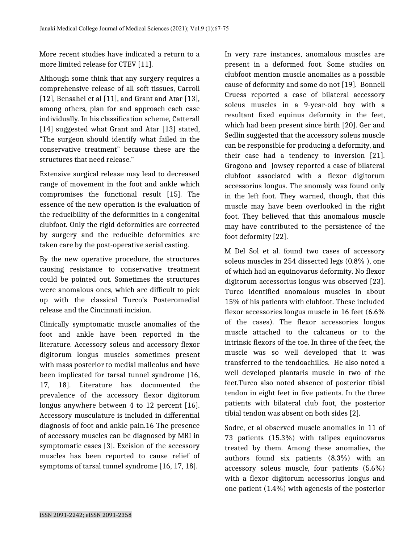More recent studies have indicated a return to a more limited release for CTEV [11].

Although some think that any surgery requires a comprehensive release of all soft tissues, Carroll [12], Bensahel et al [11], and Grant and Atar [13], among others, plan for and approach each case individually. In his classification scheme, Catterall [14] suggested what Grant and Atar [13] stated, "The surgeon should identify what failed in the conservative treatment" because these are the structures that need release."

Extensive surgical release may lead to decreased range of movement in the foot and ankle which compromises the functional result [15]. The essence of the new operation is the evaluation of the reducibility of the deformities in a congenital clubfoot. Only the rigid deformities are corrected by surgery and the reducible deformities are taken care by the post-operative serial casting.

By the new operative procedure, the structures causing resistance to conservative treatment could be pointed out. Sometimes the structures were anomalous ones, which are difficult to pick up with the classical Turco's Posteromedial release and the Cincinnati incision.

Clinically symptomatic muscle anomalies of the foot and ankle have been reported in the literature. Accessory soleus and accessory flexor digitorum longus muscles sometimes present with mass posterior to medial malleolus and have been implicated for tarsal tunnel syndrome [16, 17, 18]. Literature has documented the prevalence of the accessory flexor digitorum longus anywhere between 4 to 12 percent [16]. Accessory musculature is included in differential diagnosis of foot and ankle pain.16 The presence of accessory muscles can be diagnosed by MRI in symptomatic cases [3]. Excision of the accessory muscles has been reported to cause relief of symptoms of tarsal tunnel syndrome [16, 17, 18].

In very rare instances, anomalous muscles are present in a deformed foot. Some studies on clubfoot mention muscle anomalies as a possible cause of deformity and some do not [19]. Bonnell Cruess reported a case of bilateral accessory soleus muscles in a 9-year-old boy with a resultant fixed equinus deformity in the feet, which had been present since birth [20]. Ger and Sedlin suggested that the accessory soleus muscle can be responsible for producing a deformity, and their case had a tendency to inversion [21]. Grogono and Jowsey reported a case of bilateral clubfoot associated with a flexor digitorum accessorius longus. The anomaly was found only in the left foot. They warned, though, that this muscle may have been overlooked in the right foot. They believed that this anomalous muscle may have contributed to the persistence of the foot deformity [22].

M Del Sol et al. found two cases of accessory soleus muscles in 254 dissected legs (0.8% ), one of which had an equinovarus deformity. No flexor digitorum accessorius longus was observed [23]. Turco identified anomalous muscles in about 15% of his patients with clubfoot. These included flexor accessories longus muscle in 16 feet (6.6% of the cases). The flexor accessories longus muscle attached to the calcaneus or to the intrinsic flexors of the toe. In three of the feet, the muscle was so well developed that it was transferred to the tendoachilles. He also noted a well developed plantaris muscle in two of the feet.Turco also noted absence of posterior tibial tendon in eight feet in five patients. In the three patients with bilateral club foot, the posterior tibial tendon was absent on both sides [2].

Sodre, et al observed muscle anomalies in 11 of 73 patients (15.3%) with talipes equinovarus treated by them. Among these anomalies, the authors found six patients (8.3%) with an accessory soleus muscle, four patients (5.6%) with a flexor digitorum accessorius longus and one patient (1.4%) with agenesis of the posterior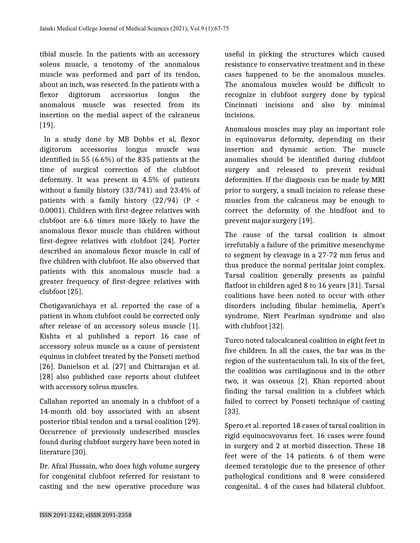tibial muscle. In the patients with an accessory soleus muscle, a tenotomy of the anomalous muscle was performed and part of its tendon, about an inch, was resected. In the patients with a flexor digitorum accessorius longus the anomalous muscle was resected from its insertion on the medial aspect of the calcaneus [19].

In a study done by MB Dobbs et al, flexor digitorum accessorius longus muscle was identified in 55 (6.6%) of the 835 patients at the time of surgical correction of the clubfoot deformity. It was present in 4.5% of patients without a family history (33/741) and 23.4% of patients with a family history  $(22/94)$  (P < 0.0001). Children with first-degree relatives with clubfoot are 6.6 times more likely to have the anomalous flexor muscle than children without first-degree relatives with clubfoot [24]. Porter described an anomalous flexor muscle in calf of five children with clubfoot. He also observed that patients with this anomalous muscle had a greater frequency of first-degree relatives with clubfoot [25].

Chotigavanichaya et al. reported the case of a patient in whom clubfoot could be corrected only after release of an accessory soleus muscle [1]. Kishta et al published a report 16 case of accessory soleus muscle as a cause of persistent equinus in clubfeet treated by the Ponseti method [26]. Danielson et al. [27] and Chittarajan et al. [28] also published case reports about clubfeet with accessory soleus muscles.

Callahan reported an anomaly in a clubfoot of a 14-month old boy associated with an absent posterior tibial tendon and a tarsal coalition [29]. Occurrence of previously undescribed muscles found during clubfoot surgery have been noted in literature [30].

Dr. Afzal Hussain, who does high volume surgery for congenital clubfoot referred for resistant to casting and the new operative procedure was

useful in picking the structures which caused resistance to conservative treatment and in these cases happened to be the anomalous muscles. The anomalous muscles would be difficult to recognize in clubfoot surgery done by typical Cincinnati incisions and also by minimal incisions.

Anomalous muscles may play an important role in equinovarus deformity, depending on their insertion and dynamic action. The muscle anomalies should be identified during clubfoot surgery and released to prevent residual deformities. If the diagnosis can be made by MRI prior to surgery, a small incision to release these muscles from the calcaneus may be enough to correct the deformity of the hindfoot and to prevent major surgery [19].

The cause of the tarsal coalition is almost irrefutably a failure of the primitive mesenchyme to segment by cleavage in a 27-72 mm fetus and thus produce the normal peritalar joint complex. Tarsal coalition generally presents as painful flatfoot in children aged 8 to 16 years [31]. Tarsal coalitions have been noted to occur with other disorders including fibular hemimelia, Apert's syndrome, Niert Pearlman syndrome and also with clubfoot [32].

Turco noted talocalcaneal coalition in eight feet in five children. In all the cases, the bar was in the region of the sustentaculum tali. In six of the feet, the coalition was cartilaginous and in the other two, it was osseous [2]. Khan reported about finding the tarsal coalition in a clubfeet which failed to correct by Ponseti technique of casting [33].

Spero et al. reported 18 cases of tarsal coalition in rigid equinocavovarus feet. 16 cases were found in surgery and 2 at morbid dissection. These 18 feet were of the 14 patients. 6 of them were deemed teratologic due to the presence of other pathological conditions and 8 were considered congenital.. 4 of the cases had bilateral clubfoot.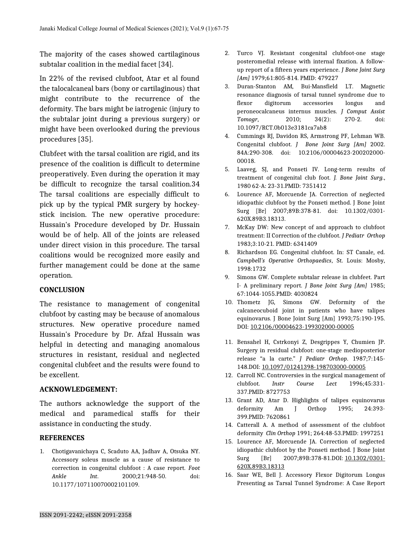The majority of the cases showed cartilaginous subtalar coalition in the medial facet [34].

In 22% of the revised clubfoot, Atar et al found the talocalcaneal bars (bony or cartilaginous) that might contribute to the recurrence of the deformity. The bars might be iatrogenic (injury to the subtalar joint during a previous surgery) or might have been overlooked during the previous procedures [35].

Clubfeet with the tarsal coalition are rigid, and its presence of the coalition is difficult to determine preoperatively. Even during the operation it may be difficult to recognize the tarsal coalition.34 The tarsal coalitions are especially difficult to pick up by the typical PMR surgery by hockeystick incision. The new operative procedure: Hussain's Procedure developed by Dr. Hussain would be of help. All of the joints are released under direct vision in this procedure. The tarsal coalitions would be recognized more easily and further management could be done at the same operation.

#### **CONCLUSION**

The resistance to management of congenital clubfoot by casting may be because of anomalous structures. New operative procedure named Hussain's Procedure by Dr. Afzal Hussain was helpful in detecting and managing anomalous structures in resistant, residual and neglected congenital clubfeet and the results were found to be excellent.

#### **ACKNOWLEDGEMENT:**

The authors acknowledge the support of the medical and paramedical staffs for their assistance in conducting the study.

#### **REFERENCES**

1. Chotigavanichaya C, Scaduto AA, Jadhav A, Otsuka NY. Accessory soleus muscle as a cause of resistance to correction in congenital clubfoot : A case report. *Foot Ankle Int*. 2000;21:948-50. doi: 10.1177/107110070002101109.

- 2. Turco VJ. Resistant congenital clubfoot-one stage posteromedial release with internal fixation. A followup report of a fifteen years experience. *J Bone Joint Surg [Am]* 1979;61:805-814. PMID: 479227
- 3. Duran-Stanton AM, Bui-Mansfield LT. Magnetic resonance diagnosis of tarsal tunnel syndrome due to flexor digitorum accessories longus and peroneocalcaneus internus muscles. *J Comput Assist Tomogr*, 2010; 34(2): 270-2. doi: 10.1097/RCT.0b013e3181ca7ab8
- 4. Cummings RJ, Davidon RS, Armstrong PF, Lehman WB. Congenital clubfoot. *J Bone Joint Surg [Am]* 2002. 84A:290-308. doi: 10.2106/00004623-200202000- 00018.
- 5. Laaveg, SJ, and Ponseti IV. Long-term results of treatment of congenital club foot. *J. Bone Joint Surg.*, 1980 62-A: 23-31.PMID: 7351412
- 6. Lourence AF, Morcuende JA. Correction of neglected idiopathic clubfoot by the Ponseti method. J Bone Joint Surg [Br] 2007;89B:378-81. doi: 10.1302/0301- 620X.89B3.18313.
- 7. McKay DW: New concept of and approach to clubfoot treatment: II Correction of the clubfoot. *J Pediatr Orthop* 1983;3:10-21. PMID: 6341409
- 8. Richardson EG. Congenital clubfoot. In: ST Canale, ed. *Campbell's Operative Orthopaedics*, St. Louis: Mosby, 1998:1732
- 9. Simons GW. Complete subtalar release in clubfeet. Part I- A preliminary report. *J Bone Joint Surg [Am]* 1985; 67:1044-1055.PMID: 4030824
- 10. Thometz JG, Simons GW. Deformity of the calcaneocuboid joint in patients who have talipes equinovarus. J Bone Joint Surg [Am] 1993;75:190-195. DOI: [10.2106/00004623-199302000-00005](https://doi.org/10.2106/00004623-199302000-00005)
- 11. Bensahel H, Cstrkonyi Z, Desgrippes Y, Chumien JP. Surgery in residual clubfoot: one-stage medioposterior release "a la carte." *J Pediatr Orthop*. 1987;7:145- 148.DOI: [10.1097/01241398-198703000-00005](https://doi.org/10.1097/01241398-198703000-00005)
- 12. Carroll NC. Controversies in the surgical management of clubfoot. *Instr Course Lect* 1996;45:331- 337.PMID: 8727753
- 13. Grant AD, Atar D. Highlights of talipes equinovarus deformity Am J Orthop 1995; 24:393- 399.PMID: 7620861
- 14. Catterall A. A method of assessment of the clubfoot deformity *Clin Orthop* 1991; 264:48-53.PMID: 1997251
- 15. Lourence AF, Morcuende JA. Correction of neglected idiopathic clubfoot by the Ponseti method. J Bone Joint Surg [Br] 2007;89B:378-81.DOI: [10.1302/0301-](https://doi.org/10.1302/0301-620x.89b3.18313) [620X.89B3.18313](https://doi.org/10.1302/0301-620x.89b3.18313)
- 16. Saar WE, Bell J. Accessory Flexor Digitorum Longus Presenting as Tarsal Tunnel Syndrome: A Case Report